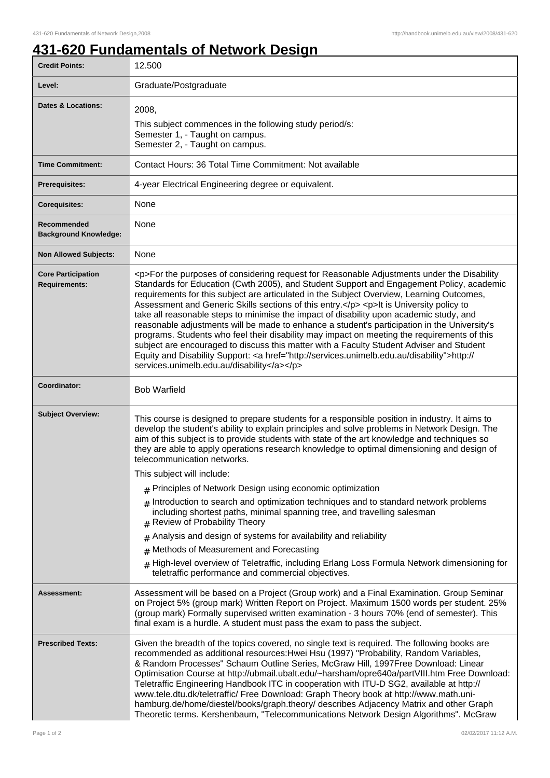## **431-620 Fundamentals of Network Design**

| <b>Credit Points:</b>                             | 12.500                                                                                                                                                                                                                                                                                                                                                                                                                                                                                                                                                                                                                                                                                                                                                                                                                                                                                                                       |
|---------------------------------------------------|------------------------------------------------------------------------------------------------------------------------------------------------------------------------------------------------------------------------------------------------------------------------------------------------------------------------------------------------------------------------------------------------------------------------------------------------------------------------------------------------------------------------------------------------------------------------------------------------------------------------------------------------------------------------------------------------------------------------------------------------------------------------------------------------------------------------------------------------------------------------------------------------------------------------------|
| Level:                                            | Graduate/Postgraduate                                                                                                                                                                                                                                                                                                                                                                                                                                                                                                                                                                                                                                                                                                                                                                                                                                                                                                        |
| <b>Dates &amp; Locations:</b>                     | 2008,                                                                                                                                                                                                                                                                                                                                                                                                                                                                                                                                                                                                                                                                                                                                                                                                                                                                                                                        |
|                                                   | This subject commences in the following study period/s:<br>Semester 1, - Taught on campus.                                                                                                                                                                                                                                                                                                                                                                                                                                                                                                                                                                                                                                                                                                                                                                                                                                   |
|                                                   | Semester 2, - Taught on campus.                                                                                                                                                                                                                                                                                                                                                                                                                                                                                                                                                                                                                                                                                                                                                                                                                                                                                              |
| <b>Time Commitment:</b>                           | Contact Hours: 36 Total Time Commitment: Not available                                                                                                                                                                                                                                                                                                                                                                                                                                                                                                                                                                                                                                                                                                                                                                                                                                                                       |
| <b>Prerequisites:</b>                             | 4-year Electrical Engineering degree or equivalent.                                                                                                                                                                                                                                                                                                                                                                                                                                                                                                                                                                                                                                                                                                                                                                                                                                                                          |
| <b>Corequisites:</b>                              | None                                                                                                                                                                                                                                                                                                                                                                                                                                                                                                                                                                                                                                                                                                                                                                                                                                                                                                                         |
| Recommended<br><b>Background Knowledge:</b>       | None                                                                                                                                                                                                                                                                                                                                                                                                                                                                                                                                                                                                                                                                                                                                                                                                                                                                                                                         |
| <b>Non Allowed Subjects:</b>                      | None                                                                                                                                                                                                                                                                                                                                                                                                                                                                                                                                                                                                                                                                                                                                                                                                                                                                                                                         |
| <b>Core Participation</b><br><b>Requirements:</b> | <p>For the purposes of considering request for Reasonable Adjustments under the Disability<br/>Standards for Education (Cwth 2005), and Student Support and Engagement Policy, academic<br/>requirements for this subject are articulated in the Subject Overview, Learning Outcomes,<br/>Assessment and Generic Skills sections of this entry.</p> <p>It is University policy to<br/>take all reasonable steps to minimise the impact of disability upon academic study, and<br/>reasonable adjustments will be made to enhance a student's participation in the University's<br/>programs. Students who feel their disability may impact on meeting the requirements of this<br/>subject are encouraged to discuss this matter with a Faculty Student Adviser and Student<br/>Equity and Disability Support: &lt; a href="http://services.unimelb.edu.au/disability"&gt;http://<br/>services.unimelb.edu.au/disability</p> |
| Coordinator:                                      | <b>Bob Warfield</b>                                                                                                                                                                                                                                                                                                                                                                                                                                                                                                                                                                                                                                                                                                                                                                                                                                                                                                          |
| <b>Subject Overview:</b>                          | This course is designed to prepare students for a responsible position in industry. It aims to<br>develop the student's ability to explain principles and solve problems in Network Design. The<br>aim of this subject is to provide students with state of the art knowledge and techniques so<br>they are able to apply operations research knowledge to optimal dimensioning and design of<br>telecommunication networks.                                                                                                                                                                                                                                                                                                                                                                                                                                                                                                 |
|                                                   | This subject will include:                                                                                                                                                                                                                                                                                                                                                                                                                                                                                                                                                                                                                                                                                                                                                                                                                                                                                                   |
|                                                   | $#$ Principles of Network Design using economic optimization                                                                                                                                                                                                                                                                                                                                                                                                                                                                                                                                                                                                                                                                                                                                                                                                                                                                 |
|                                                   | Introduction to search and optimization techniques and to standard network problems<br>#<br>including shortest paths, minimal spanning tree, and travelling salesman<br>Review of Probability Theory<br>#                                                                                                                                                                                                                                                                                                                                                                                                                                                                                                                                                                                                                                                                                                                    |
|                                                   | Analysis and design of systems for availability and reliability<br>#                                                                                                                                                                                                                                                                                                                                                                                                                                                                                                                                                                                                                                                                                                                                                                                                                                                         |
|                                                   | Methods of Measurement and Forecasting<br>$\pm$                                                                                                                                                                                                                                                                                                                                                                                                                                                                                                                                                                                                                                                                                                                                                                                                                                                                              |
|                                                   | High-level overview of Teletraffic, including Erlang Loss Formula Network dimensioning for<br>teletraffic performance and commercial objectives.                                                                                                                                                                                                                                                                                                                                                                                                                                                                                                                                                                                                                                                                                                                                                                             |
| Assessment:                                       | Assessment will be based on a Project (Group work) and a Final Examination. Group Seminar<br>on Project 5% (group mark) Written Report on Project. Maximum 1500 words per student. 25%<br>(group mark) Formally supervised written examination - 3 hours 70% (end of semester). This<br>final exam is a hurdle. A student must pass the exam to pass the subject.                                                                                                                                                                                                                                                                                                                                                                                                                                                                                                                                                            |
| <b>Prescribed Texts:</b>                          | Given the breadth of the topics covered, no single text is required. The following books are<br>recommended as additional resources: Hwei Hsu (1997) "Probability, Random Variables,<br>& Random Processes" Schaum Outline Series, McGraw Hill, 1997Free Download: Linear<br>Optimisation Course at http://ubmail.ubalt.edu/~harsham/opre640a/partVIII.htm Free Download:<br>Teletraffic Engineering Handbook ITC in cooperation with ITU-D SG2, available at http://<br>www.tele.dtu.dk/teletraffic/ Free Download: Graph Theory book at http://www.math.uni-<br>hamburg.de/home/diestel/books/graph.theory/ describes Adjacency Matrix and other Graph<br>Theoretic terms. Kershenbaum, "Telecommunications Network Design Algorithms". McGraw                                                                                                                                                                             |